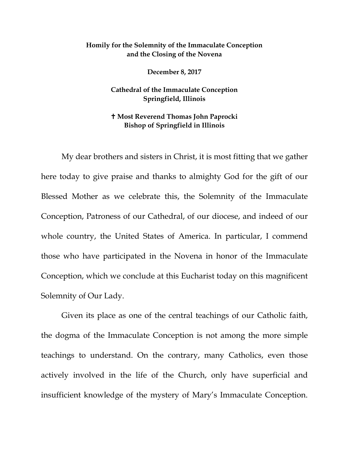## **Homily for the Solemnity of the Immaculate Conception and the Closing of the Novena**

**December 8, 2017**

**Cathedral of the Immaculate Conception Springfield, Illinois** 

## **Most Reverend Thomas John Paprocki Bishop of Springfield in Illinois**

My dear brothers and sisters in Christ, it is most fitting that we gather here today to give praise and thanks to almighty God for the gift of our Blessed Mother as we celebrate this, the Solemnity of the Immaculate Conception, Patroness of our Cathedral, of our diocese, and indeed of our whole country, the United States of America. In particular, I commend those who have participated in the Novena in honor of the Immaculate Conception, which we conclude at this Eucharist today on this magnificent Solemnity of Our Lady.

Given its place as one of the central teachings of our Catholic faith, the dogma of the Immaculate Conception is not among the more simple teachings to understand. On the contrary, many Catholics, even those actively involved in the life of the Church, only have superficial and insufficient knowledge of the mystery of Mary's Immaculate Conception.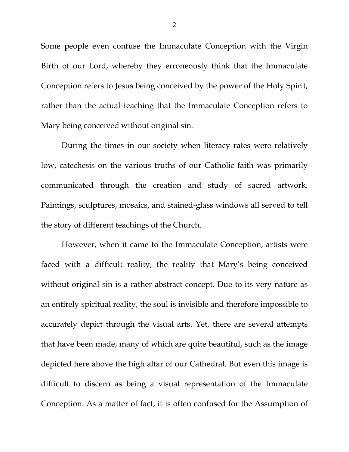Some people even confuse the Immaculate Conception with the Virgin Birth of our Lord, whereby they erroneously think that the Immaculate Conception refers to Jesus being conceived by the power of the Holy Spirit, rather than the actual teaching that the Immaculate Conception refers to Mary being conceived without original sin.

During the times in our society when literacy rates were relatively low, catechesis on the various truths of our Catholic faith was primarily communicated through the creation and study of sacred artwork. Paintings, sculptures, mosaics, and stained-glass windows all served to tell the story of different teachings of the Church.

However, when it came to the Immaculate Conception, artists were faced with a difficult reality, the reality that Mary's being conceived without original sin is a rather abstract concept. Due to its very nature as an entirely spiritual reality, the soul is invisible and therefore impossible to accurately depict through the visual arts. Yet, there are several attempts that have been made, many of which are quite beautiful, such as the image depicted here above the high altar of our Cathedral. But even this image is difficult to discern as being a visual representation of the Immaculate Conception. As a matter of fact, it is often confused for the Assumption of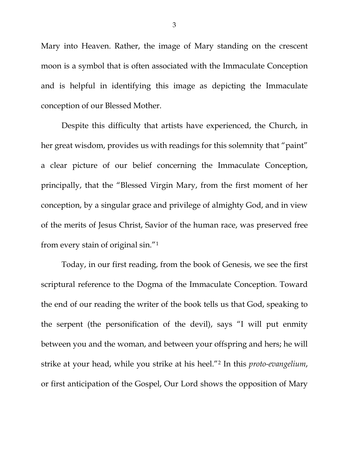Mary into Heaven. Rather, the image of Mary standing on the crescent moon is a symbol that is often associated with the Immaculate Conception and is helpful in identifying this image as depicting the Immaculate conception of our Blessed Mother.

Despite this difficulty that artists have experienced, the Church, in her great wisdom, provides us with readings for this solemnity that "paint" a clear picture of our belief concerning the Immaculate Conception, principally, that the "Blessed Virgin Mary, from the first moment of her conception, by a singular grace and privilege of almighty God, and in view of the merits of Jesus Christ, Savior of the human race, was preserved free from every stain of original sin."[1](#page-5-0)

Today, in our first reading, from the book of Genesis, we see the first scriptural reference to the Dogma of the Immaculate Conception. Toward the end of our reading the writer of the book tells us that God, speaking to the serpent (the personification of the devil), says "I will put enmity between you and the woman, and between your offspring and hers; he will strike at your head, while you strike at his heel."[2](#page-5-1) In this *proto-evangelium*, or first anticipation of the Gospel, Our Lord shows the opposition of Mary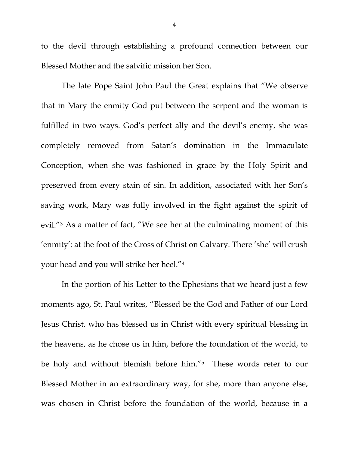to the devil through establishing a profound connection between our Blessed Mother and the salvific mission her Son.

The late Pope Saint John Paul the Great explains that "We observe that in Mary the enmity God put between the serpent and the woman is fulfilled in two ways. God's perfect ally and the devil's enemy, she was completely removed from Satan's domination in the Immaculate Conception, when she was fashioned in grace by the Holy Spirit and preserved from every stain of sin. In addition, associated with her Son's saving work, Mary was fully involved in the fight against the spirit of evil."[3](#page-5-2) As a matter of fact, "We see her at the culminating moment of this 'enmity': at the foot of the Cross of Christ on Calvary. There 'she' will crush your head and you will strike her heel."[4](#page-5-3)

In the portion of his Letter to the Ephesians that we heard just a few moments ago, St. Paul writes, "Blessed be the God and Father of our Lord Jesus Christ, who has blessed us in Christ with every spiritual blessing in the heavens, as he chose us in him, before the foundation of the world, to be holy and without blemish before him."[5](#page-5-4) These words refer to our Blessed Mother in an extraordinary way, for she, more than anyone else, was chosen in Christ before the foundation of the world, because in a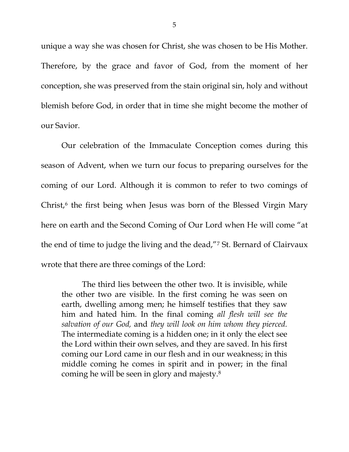unique a way she was chosen for Christ, she was chosen to be His Mother. Therefore, by the grace and favor of God, from the moment of her conception, she was preserved from the stain original sin, holy and without blemish before God, in order that in time she might become the mother of our Savior.

Our celebration of the Immaculate Conception comes during this season of Advent, when we turn our focus to preparing ourselves for the coming of our Lord. Although it is common to refer to two comings of Christ, $6$  the first being when Jesus was born of the Blessed Virgin Mary here on earth and the Second Coming of Our Lord when He will come "at the end of time to judge the living and the dead,"[7](#page-5-6) St. Bernard of Clairvaux wrote that there are three comings of the Lord:

The third lies between the other two. It is invisible, while the other two are visible. In the first coming he was seen on earth, dwelling among men; he himself testifies that they saw him and hated him. In the final coming *all flesh will see the salvation of our God,* and *they will look on him whom they pierced.* The intermediate coming is a hidden one; in it only the elect see the Lord within their own selves, and they are saved. In his first coming our Lord came in our flesh and in our weakness; in this middle coming he comes in spirit and in power; in the final coming he will be seen in glory and majesty[.8](#page-5-7)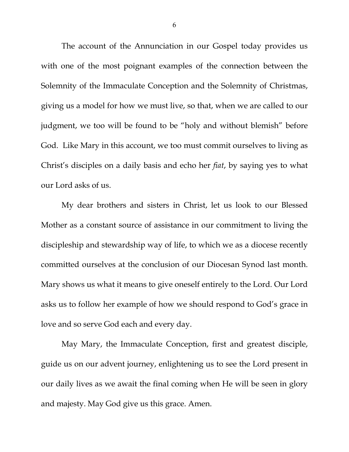<span id="page-5-2"></span><span id="page-5-1"></span><span id="page-5-0"></span>The account of the Annunciation in our Gospel today provides us with one of the most poignant examples of the connection between the Solemnity of the Immaculate Conception and the Solemnity of Christmas, giving us a model for how we must live, so that, when we are called to our judgment, we too will be found to be "holy and without blemish" before God. Like Mary in this account, we too must commit ourselves to living as Christ's disciples on a daily basis and echo her *fiat*, by saying yes to what our Lord asks of us.

<span id="page-5-7"></span><span id="page-5-6"></span><span id="page-5-5"></span><span id="page-5-4"></span><span id="page-5-3"></span>My dear brothers and sisters in Christ, let us look to our Blessed Mother as a constant source of assistance in our commitment to living the discipleship and stewardship way of life, to which we as a diocese recently committed ourselves at the conclusion of our Diocesan Synod last month. Mary shows us what it means to give oneself entirely to the Lord. Our Lord asks us to follow her example of how we should respond to God's grace in love and so serve God each and every day.

May Mary, the Immaculate Conception, first and greatest disciple, guide us on our advent journey, enlightening us to see the Lord present in our daily lives as we await the final coming when He will be seen in glory and majesty. May God give us this grace. Amen.

6